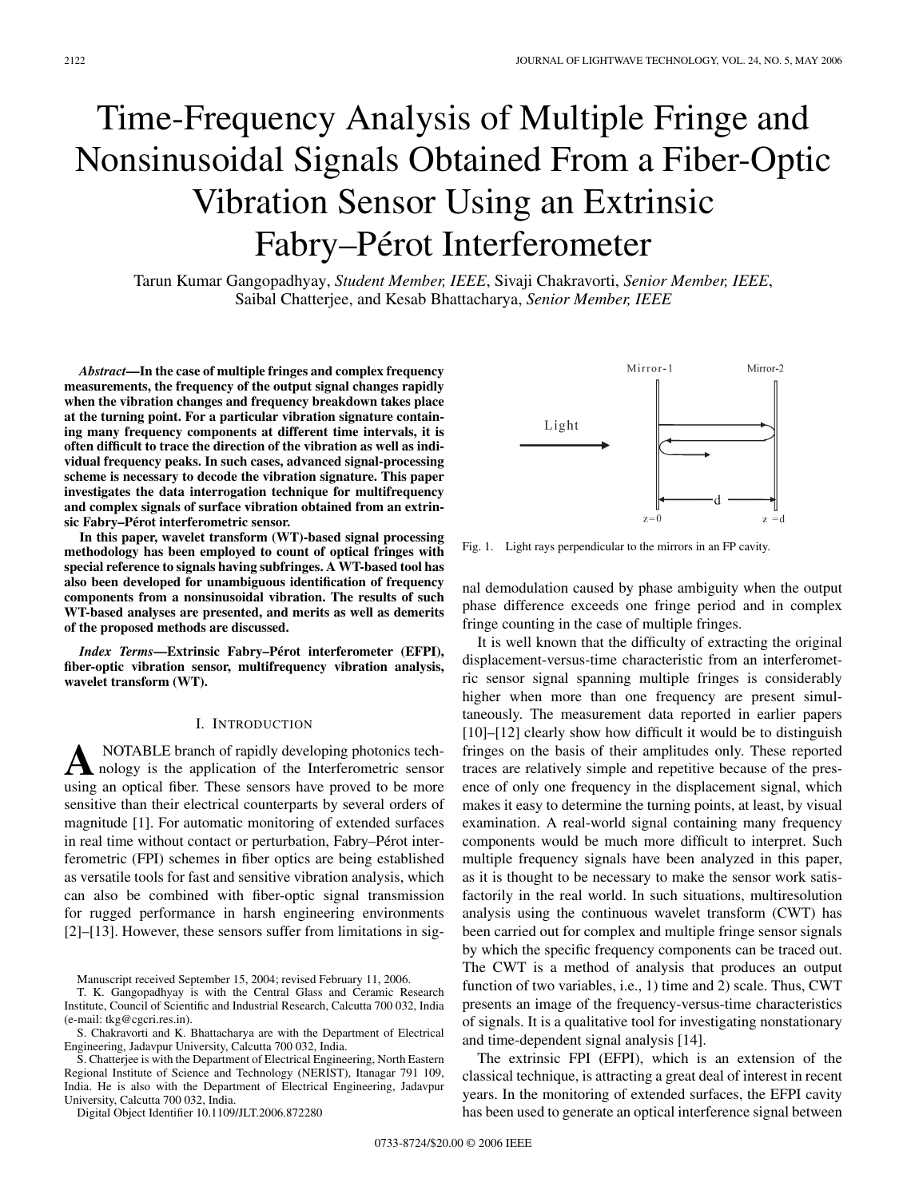# Time-Frequency Analysis of Multiple Fringe and Nonsinusoidal Signals Obtained From a Fiber-Optic Vibration Sensor Using an Extrinsic Fabry–Pérot Interferometer

Tarun Kumar Gangopadhyay, *Student Member, IEEE*, Sivaji Chakravorti, *Senior Member, IEEE*, Saibal Chatterjee, and Kesab Bhattacharya, *Senior Member, IEEE*

*Abstract***—In the case of multiple fringes and complex frequency measurements, the frequency of the output signal changes rapidly when the vibration changes and frequency breakdown takes place at the turning point. For a particular vibration signature containing many frequency components at different time intervals, it is often difficult to trace the direction of the vibration as well as individual frequency peaks. In such cases, advanced signal-processing scheme is necessary to decode the vibration signature. This paper investigates the data interrogation technique for multifrequency and complex signals of surface vibration obtained from an extrinsic Fabry–Pérot interferometric sensor.**

**In this paper, wavelet transform (WT)-based signal processing methodology has been employed to count of optical fringes with special reference to signals having subfringes. A WT-based tool has also been developed for unambiguous identification of frequency components from a nonsinusoidal vibration. The results of such WT-based analyses are presented, and merits as well as demerits of the proposed methods are discussed.**

*Index Terms***—Extrinsic Fabry–Pérot interferometer (EFPI), fiber-optic vibration sensor, multifrequency vibration analysis, wavelet transform (WT).**

## I. INTRODUCTION

**A** NOTABLE branch of rapidly developing photonics tech-<br>nology is the application of the Interferometric sensor using an optical fiber. These sensors have proved to be more sensitive than their electrical counterparts by several orders of magnitude [1]. For automatic monitoring of extended surfaces in real time without contact or perturbation, Fabry–Pérot interferometric (FPI) schemes in fiber optics are being established as versatile tools for fast and sensitive vibration analysis, which can also be combined with fiber-optic signal transmission for rugged performance in harsh engineering environments [2]–[13]. However, these sensors suffer from limitations in sig-

Manuscript received September 15, 2004; revised February 11, 2006.

T. K. Gangopadhyay is with the Central Glass and Ceramic Research Institute, Council of Scientific and Industrial Research, Calcutta 700 032, India (e-mail: tkg@cgcri.res.in).

S. Chakravorti and K. Bhattacharya are with the Department of Electrical Engineering, Jadavpur University, Calcutta 700 032, India.

S. Chatterjee is with the Department of Electrical Engineering, North Eastern Regional Institute of Science and Technology (NERIST), Itanagar 791 109, India. He is also with the Department of Electrical Engineering, Jadavpur University, Calcutta 700 032, India.

Digital Object Identifier 10.1109/JLT.2006.872280



Fig. 1. Light rays perpendicular to the mirrors in an FP cavity.

nal demodulation caused by phase ambiguity when the output phase difference exceeds one fringe period and in complex fringe counting in the case of multiple fringes.

It is well known that the difficulty of extracting the original displacement-versus-time characteristic from an interferometric sensor signal spanning multiple fringes is considerably higher when more than one frequency are present simultaneously. The measurement data reported in earlier papers [10]–[12] clearly show how difficult it would be to distinguish fringes on the basis of their amplitudes only. These reported traces are relatively simple and repetitive because of the presence of only one frequency in the displacement signal, which makes it easy to determine the turning points, at least, by visual examination. A real-world signal containing many frequency components would be much more difficult to interpret. Such multiple frequency signals have been analyzed in this paper, as it is thought to be necessary to make the sensor work satisfactorily in the real world. In such situations, multiresolution analysis using the continuous wavelet transform (CWT) has been carried out for complex and multiple fringe sensor signals by which the specific frequency components can be traced out. The CWT is a method of analysis that produces an output function of two variables, i.e., 1) time and 2) scale. Thus, CWT presents an image of the frequency-versus-time characteristics of signals. It is a qualitative tool for investigating nonstationary and time-dependent signal analysis [14].

The extrinsic FPI (EFPI), which is an extension of the classical technique, is attracting a great deal of interest in recent years. In the monitoring of extended surfaces, the EFPI cavity has been used to generate an optical interference signal between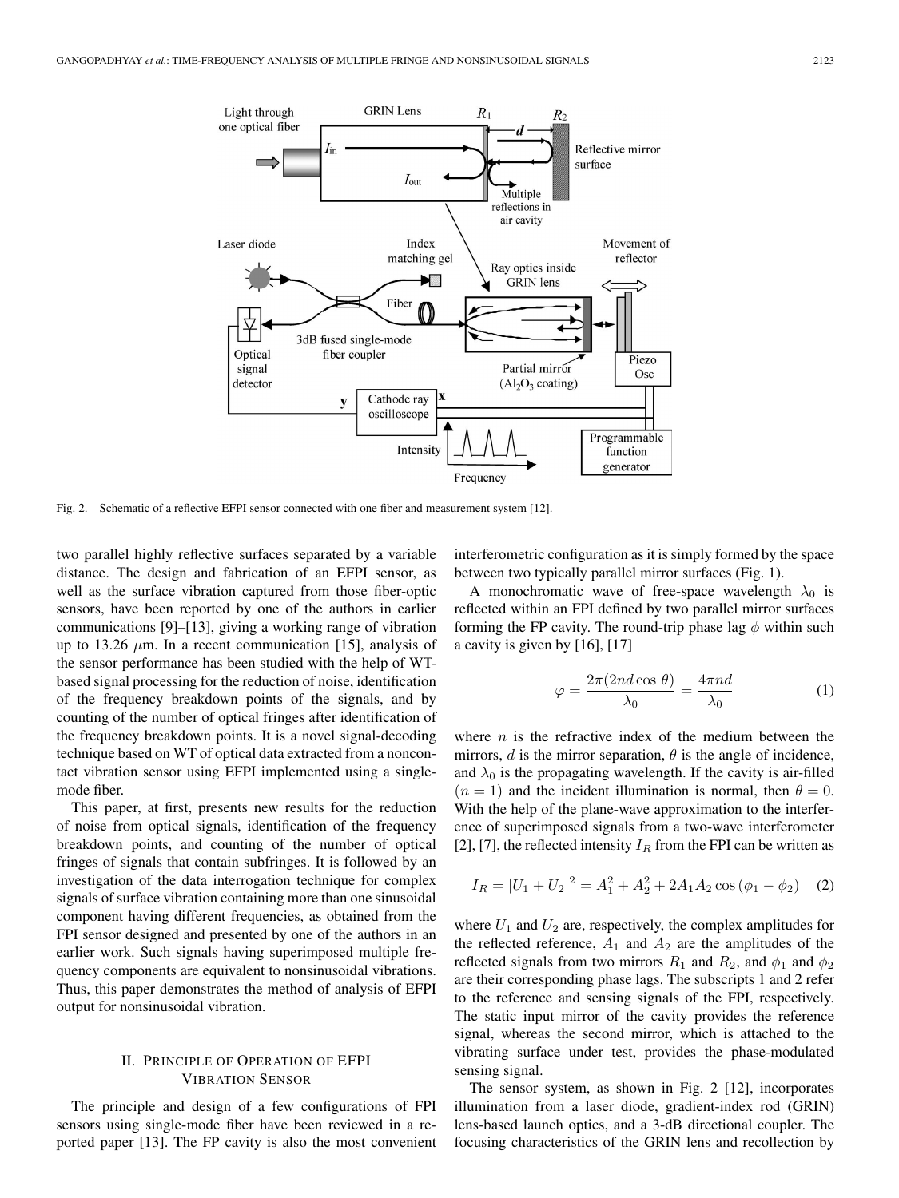

Fig. 2. Schematic of a reflective EFPI sensor connected with one fiber and measurement system [12].

two parallel highly reflective surfaces separated by a variable distance. The design and fabrication of an EFPI sensor, as well as the surface vibration captured from those fiber-optic sensors, have been reported by one of the authors in earlier communications [9]–[13], giving a working range of vibration up to 13.26  $\mu$ m. In a recent communication [15], analysis of the sensor performance has been studied with the help of WTbased signal processing for the reduction of noise, identification of the frequency breakdown points of the signals, and by counting of the number of optical fringes after identification of the frequency breakdown points. It is a novel signal-decoding technique based on WT of optical data extracted from a noncontact vibration sensor using EFPI implemented using a singlemode fiber.

This paper, at first, presents new results for the reduction of noise from optical signals, identification of the frequency breakdown points, and counting of the number of optical fringes of signals that contain subfringes. It is followed by an investigation of the data interrogation technique for complex signals of surface vibration containing more than one sinusoidal component having different frequencies, as obtained from the FPI sensor designed and presented by one of the authors in an earlier work. Such signals having superimposed multiple frequency components are equivalent to nonsinusoidal vibrations. Thus, this paper demonstrates the method of analysis of EFPI output for nonsinusoidal vibration.

## II. PRINCIPLE OF OPERATION OF EFPI VIBRATION SENSOR

The principle and design of a few configurations of FPI sensors using single-mode fiber have been reviewed in a reported paper [13]. The FP cavity is also the most convenient interferometric configuration as it is simply formed by the space between two typically parallel mirror surfaces (Fig. 1).

A monochromatic wave of free-space wavelength  $\lambda_0$  is reflected within an FPI defined by two parallel mirror surfaces forming the FP cavity. The round-trip phase lag  $\phi$  within such a cavity is given by [16], [17]

$$
\varphi = \frac{2\pi (2nd\cos\theta)}{\lambda_0} = \frac{4\pi nd}{\lambda_0} \tag{1}
$$

where  $n$  is the refractive index of the medium between the mirrors,  $d$  is the mirror separation,  $\theta$  is the angle of incidence, and  $\lambda_0$  is the propagating wavelength. If the cavity is air-filled  $(n = 1)$  and the incident illumination is normal, then  $\theta = 0$ . With the help of the plane-wave approximation to the interference of superimposed signals from a two-wave interferometer [2], [7], the reflected intensity  $I_R$  from the FPI can be written as

$$
I_R = |U_1 + U_2|^2 = A_1^2 + A_2^2 + 2A_1A_2 \cos(\phi_1 - \phi_2)
$$
 (2)

where  $U_1$  and  $U_2$  are, respectively, the complex amplitudes for the reflected reference,  $A_1$  and  $A_2$  are the amplitudes of the reflected signals from two mirrors  $R_1$  and  $R_2$ , and  $\phi_1$  and  $\phi_2$ are their corresponding phase lags. The subscripts 1 and 2 refer to the reference and sensing signals of the FPI, respectively. The static input mirror of the cavity provides the reference signal, whereas the second mirror, which is attached to the vibrating surface under test, provides the phase-modulated sensing signal.

The sensor system, as shown in Fig. 2 [12], incorporates illumination from a laser diode, gradient-index rod (GRIN) lens-based launch optics, and a 3-dB directional coupler. The focusing characteristics of the GRIN lens and recollection by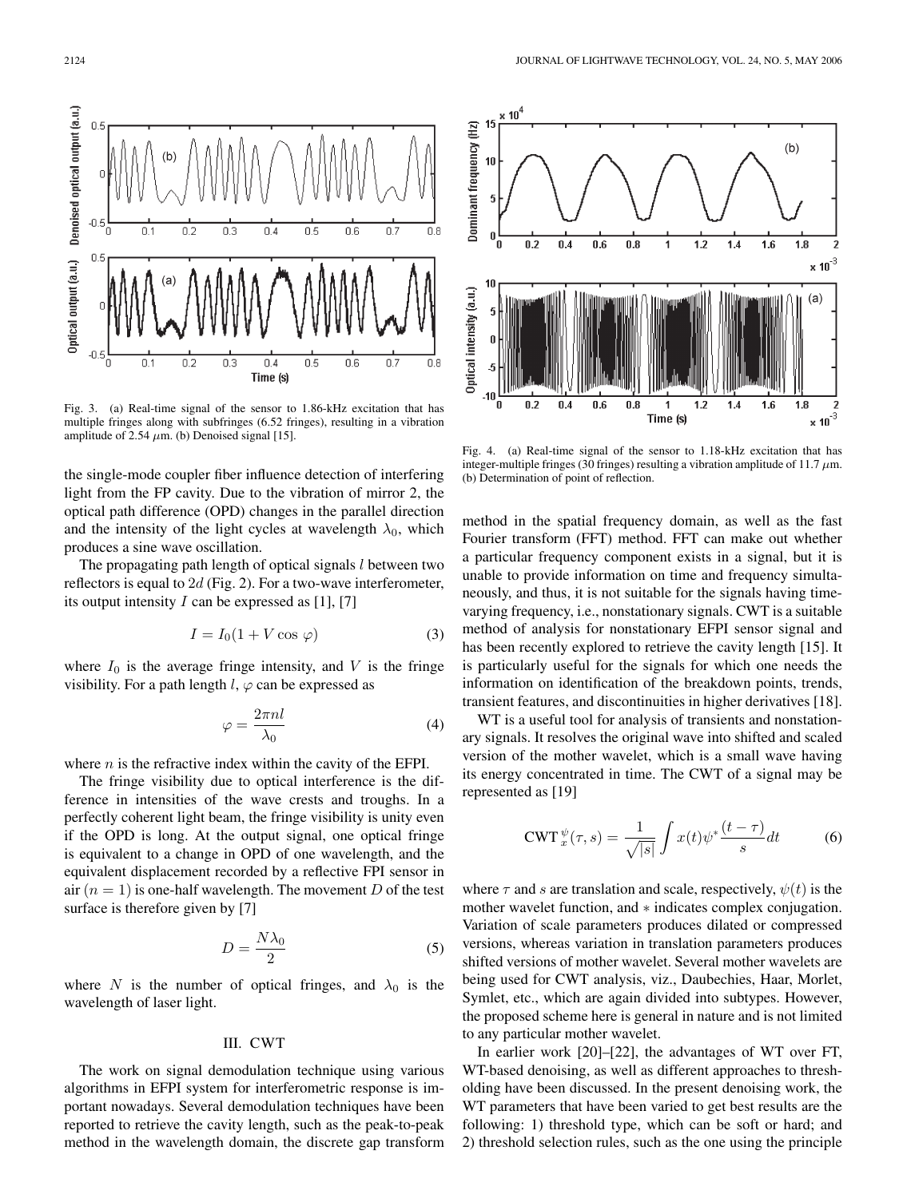

Fig. 3. (a) Real-time signal of the sensor to 1.86-kHz excitation that has multiple fringes along with subfringes (6.52 fringes), resulting in a vibration amplitude of 2.54  $\mu$ m. (b) Denoised signal [15].

the single-mode coupler fiber influence detection of interfering light from the FP cavity. Due to the vibration of mirror 2, the optical path difference (OPD) changes in the parallel direction and the intensity of the light cycles at wavelength  $\lambda_0$ , which produces a sine wave oscillation.

The propagating path length of optical signals  $l$  between two reflectors is equal to  $2d$  (Fig. 2). For a two-wave interferometer, its output intensity  $I$  can be expressed as [1], [7]

$$
I = I_0(1 + V \cos \varphi) \tag{3}
$$

where  $I_0$  is the average fringe intensity, and V is the fringe visibility. For a path length  $l, \varphi$  can be expressed as

$$
\varphi = \frac{2\pi nl}{\lambda_0} \tag{4}
$$

where  $n$  is the refractive index within the cavity of the EFPI.

The fringe visibility due to optical interference is the difference in intensities of the wave crests and troughs. In a perfectly coherent light beam, the fringe visibility is unity even if the OPD is long. At the output signal, one optical fringe is equivalent to a change in OPD of one wavelength, and the equivalent displacement recorded by a reflective FPI sensor in air  $(n = 1)$  is one-half wavelength. The movement D of the test surface is therefore given by [7]

$$
D = \frac{N\lambda_0}{2} \tag{5}
$$

where N is the number of optical fringes, and  $\lambda_0$  is the wavelength of laser light.

## III. CWT

The work on signal demodulation technique using various algorithms in EFPI system for interferometric response is important nowadays. Several demodulation techniques have been reported to retrieve the cavity length, such as the peak-to-peak method in the wavelength domain, the discrete gap transform



Fig. 4. (a) Real-time signal of the sensor to 1.18-kHz excitation that has integer-multiple fringes (30 fringes) resulting a vibration amplitude of 11.7 *µ*m. (b) Determination of point of reflection.

method in the spatial frequency domain, as well as the fast Fourier transform (FFT) method. FFT can make out whether a particular frequency component exists in a signal, but it is unable to provide information on time and frequency simultaneously, and thus, it is not suitable for the signals having timevarying frequency, i.e., nonstationary signals. CWT is a suitable method of analysis for nonstationary EFPI sensor signal and has been recently explored to retrieve the cavity length [15]. It is particularly useful for the signals for which one needs the information on identification of the breakdown points, trends, transient features, and discontinuities in higher derivatives [18].

WT is a useful tool for analysis of transients and nonstationary signals. It resolves the original wave into shifted and scaled version of the mother wavelet, which is a small wave having its energy concentrated in time. The CWT of a signal may be represented as [19]

$$
\text{CWT}_{x}^{\psi}(\tau,s) = \frac{1}{\sqrt{|s|}} \int x(t) \psi^* \frac{(t-\tau)}{s} dt \tag{6}
$$

where  $\tau$  and s are translation and scale, respectively,  $\psi(t)$  is the mother wavelet function, and ∗ indicates complex conjugation. Variation of scale parameters produces dilated or compressed versions, whereas variation in translation parameters produces shifted versions of mother wavelet. Several mother wavelets are being used for CWT analysis, viz., Daubechies, Haar, Morlet, Symlet, etc., which are again divided into subtypes. However, the proposed scheme here is general in nature and is not limited to any particular mother wavelet.

In earlier work [20]–[22], the advantages of WT over FT, WT-based denoising, as well as different approaches to thresholding have been discussed. In the present denoising work, the WT parameters that have been varied to get best results are the following: 1) threshold type, which can be soft or hard; and 2) threshold selection rules, such as the one using the principle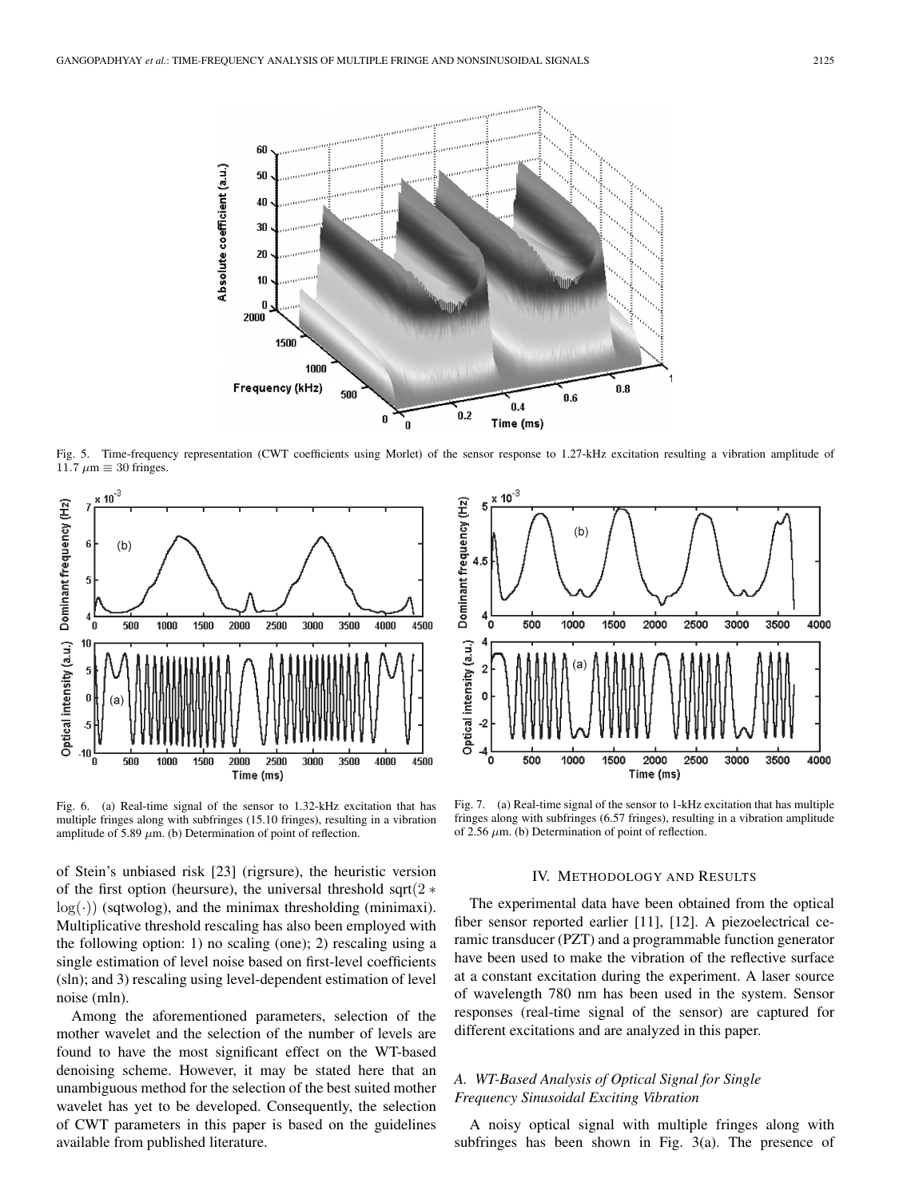

Fig. 5. Time-frequency representation (CWT coefficients using Morlet) of the sensor response to 1.27-kHz excitation resulting a vibration amplitude of 11.7  $\mu$ m  $\equiv$  30 fringes.



Fig. 6. (a) Real-time signal of the sensor to 1.32-kHz excitation that has multiple fringes along with subfringes (15.10 fringes), resulting in a vibration amplitude of 5.89  $\mu$ m. (b) Determination of point of reflection.

of Stein's unbiased risk [23] (rigrsure), the heuristic version of the first option (heursure), the universal threshold sqrt $(2 \ast$  $log(·)$ ) (sqtwolog), and the minimax thresholding (minimaxi). Multiplicative threshold rescaling has also been employed with the following option: 1) no scaling (one); 2) rescaling using a single estimation of level noise based on first-level coefficients (sln); and 3) rescaling using level-dependent estimation of level noise (mln).

Among the aforementioned parameters, selection of the mother wavelet and the selection of the number of levels are found to have the most significant effect on the WT-based denoising scheme. However, it may be stated here that an unambiguous method for the selection of the best suited mother wavelet has yet to be developed. Consequently, the selection of CWT parameters in this paper is based on the guidelines available from published literature.



Fig. 7. (a) Real-time signal of the sensor to 1-kHz excitation that has multiple fringes along with subfringes (6.57 fringes), resulting in a vibration amplitude of 2.56  $\mu$ m. (b) Determination of point of reflection.

# IV. METHODOLOGY AND RESULTS

The experimental data have been obtained from the optical fiber sensor reported earlier [11], [12]. A piezoelectrical ceramic transducer (PZT) and a programmable function generator have been used to make the vibration of the reflective surface at a constant excitation during the experiment. A laser source of wavelength 780 nm has been used in the system. Sensor responses (real-time signal of the sensor) are captured for different excitations and are analyzed in this paper.

# *A. WT-Based Analysis of Optical Signal for Single Frequency Sinusoidal Exciting Vibration*

A noisy optical signal with multiple fringes along with subfringes has been shown in Fig. 3(a). The presence of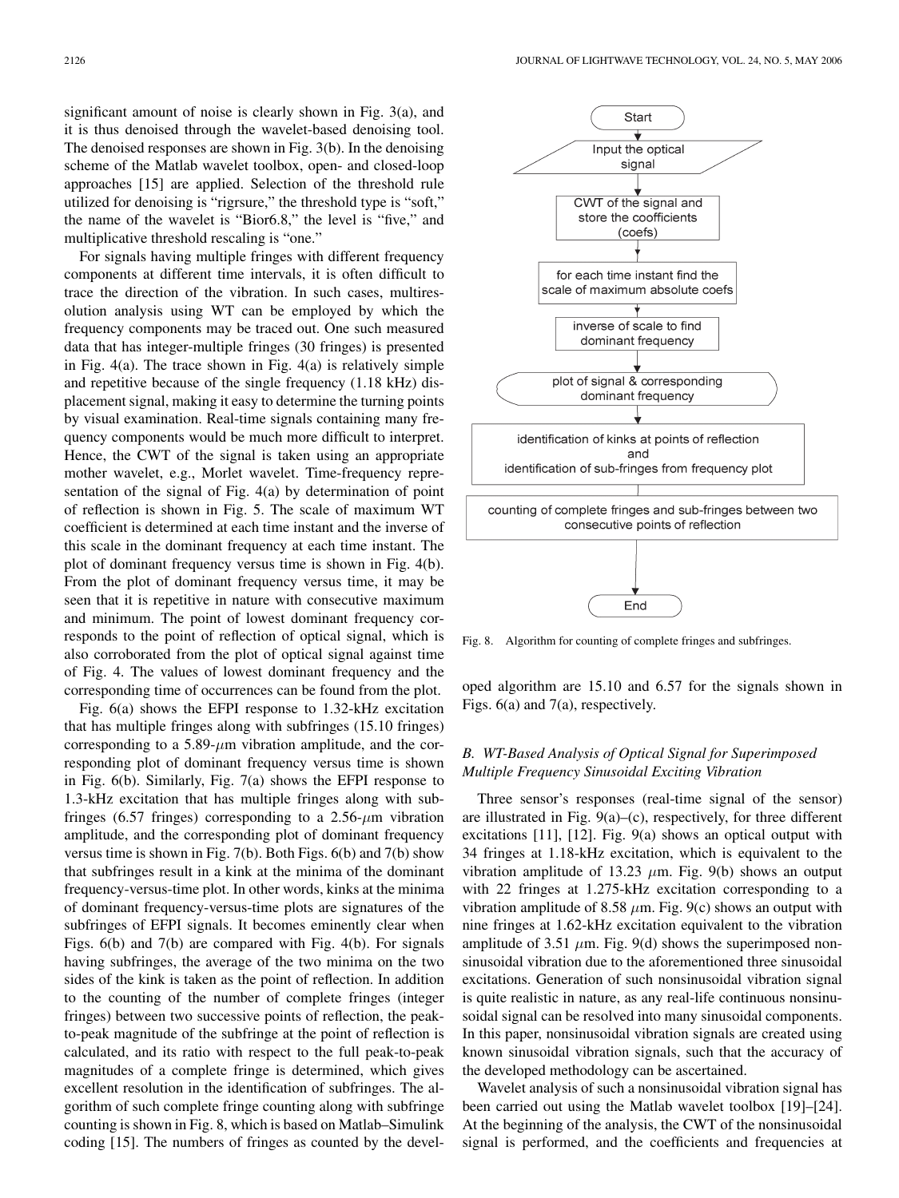significant amount of noise is clearly shown in Fig. 3(a), and it is thus denoised through the wavelet-based denoising tool. The denoised responses are shown in Fig. 3(b). In the denoising scheme of the Matlab wavelet toolbox, open- and closed-loop approaches [15] are applied. Selection of the threshold rule utilized for denoising is "rigrsure," the threshold type is "soft," the name of the wavelet is "Bior6.8," the level is "five," and multiplicative threshold rescaling is "one."

For signals having multiple fringes with different frequency components at different time intervals, it is often difficult to trace the direction of the vibration. In such cases, multiresolution analysis using WT can be employed by which the frequency components may be traced out. One such measured data that has integer-multiple fringes (30 fringes) is presented in Fig. 4(a). The trace shown in Fig. 4(a) is relatively simple and repetitive because of the single frequency (1.18 kHz) displacement signal, making it easy to determine the turning points by visual examination. Real-time signals containing many frequency components would be much more difficult to interpret. Hence, the CWT of the signal is taken using an appropriate mother wavelet, e.g., Morlet wavelet. Time-frequency representation of the signal of Fig. 4(a) by determination of point of reflection is shown in Fig. 5. The scale of maximum WT coefficient is determined at each time instant and the inverse of this scale in the dominant frequency at each time instant. The plot of dominant frequency versus time is shown in Fig. 4(b). From the plot of dominant frequency versus time, it may be seen that it is repetitive in nature with consecutive maximum and minimum. The point of lowest dominant frequency corresponds to the point of reflection of optical signal, which is also corroborated from the plot of optical signal against time of Fig. 4. The values of lowest dominant frequency and the corresponding time of occurrences can be found from the plot.

Fig. 6(a) shows the EFPI response to 1.32-kHz excitation that has multiple fringes along with subfringes (15.10 fringes) corresponding to a 5.89- $\mu$ m vibration amplitude, and the corresponding plot of dominant frequency versus time is shown in Fig. 6(b). Similarly, Fig. 7(a) shows the EFPI response to 1.3-kHz excitation that has multiple fringes along with subfringes (6.57 fringes) corresponding to a  $2.56-\mu m$  vibration amplitude, and the corresponding plot of dominant frequency versus time is shown in Fig. 7(b). Both Figs. 6(b) and 7(b) show that subfringes result in a kink at the minima of the dominant frequency-versus-time plot. In other words, kinks at the minima of dominant frequency-versus-time plots are signatures of the subfringes of EFPI signals. It becomes eminently clear when Figs. 6(b) and 7(b) are compared with Fig. 4(b). For signals having subfringes, the average of the two minima on the two sides of the kink is taken as the point of reflection. In addition to the counting of the number of complete fringes (integer fringes) between two successive points of reflection, the peakto-peak magnitude of the subfringe at the point of reflection is calculated, and its ratio with respect to the full peak-to-peak magnitudes of a complete fringe is determined, which gives excellent resolution in the identification of subfringes. The algorithm of such complete fringe counting along with subfringe counting is shown in Fig. 8, which is based on Matlab–Simulink coding [15]. The numbers of fringes as counted by the devel-



Fig. 8. Algorithm for counting of complete fringes and subfringes.

oped algorithm are 15.10 and 6.57 for the signals shown in Figs. 6(a) and 7(a), respectively.

# *B. WT-Based Analysis of Optical Signal for Superimposed Multiple Frequency Sinusoidal Exciting Vibration*

Three sensor's responses (real-time signal of the sensor) are illustrated in Fig.  $9(a)$ – $(c)$ , respectively, for three different excitations [11], [12]. Fig. 9(a) shows an optical output with 34 fringes at 1.18-kHz excitation, which is equivalent to the vibration amplitude of 13.23  $\mu$ m. Fig. 9(b) shows an output with 22 fringes at 1.275-kHz excitation corresponding to a vibration amplitude of 8.58  $\mu$ m. Fig. 9(c) shows an output with nine fringes at 1.62-kHz excitation equivalent to the vibration amplitude of 3.51  $\mu$ m. Fig. 9(d) shows the superimposed nonsinusoidal vibration due to the aforementioned three sinusoidal excitations. Generation of such nonsinusoidal vibration signal is quite realistic in nature, as any real-life continuous nonsinusoidal signal can be resolved into many sinusoidal components. In this paper, nonsinusoidal vibration signals are created using known sinusoidal vibration signals, such that the accuracy of the developed methodology can be ascertained.

Wavelet analysis of such a nonsinusoidal vibration signal has been carried out using the Matlab wavelet toolbox [19]–[24]. At the beginning of the analysis, the CWT of the nonsinusoidal signal is performed, and the coefficients and frequencies at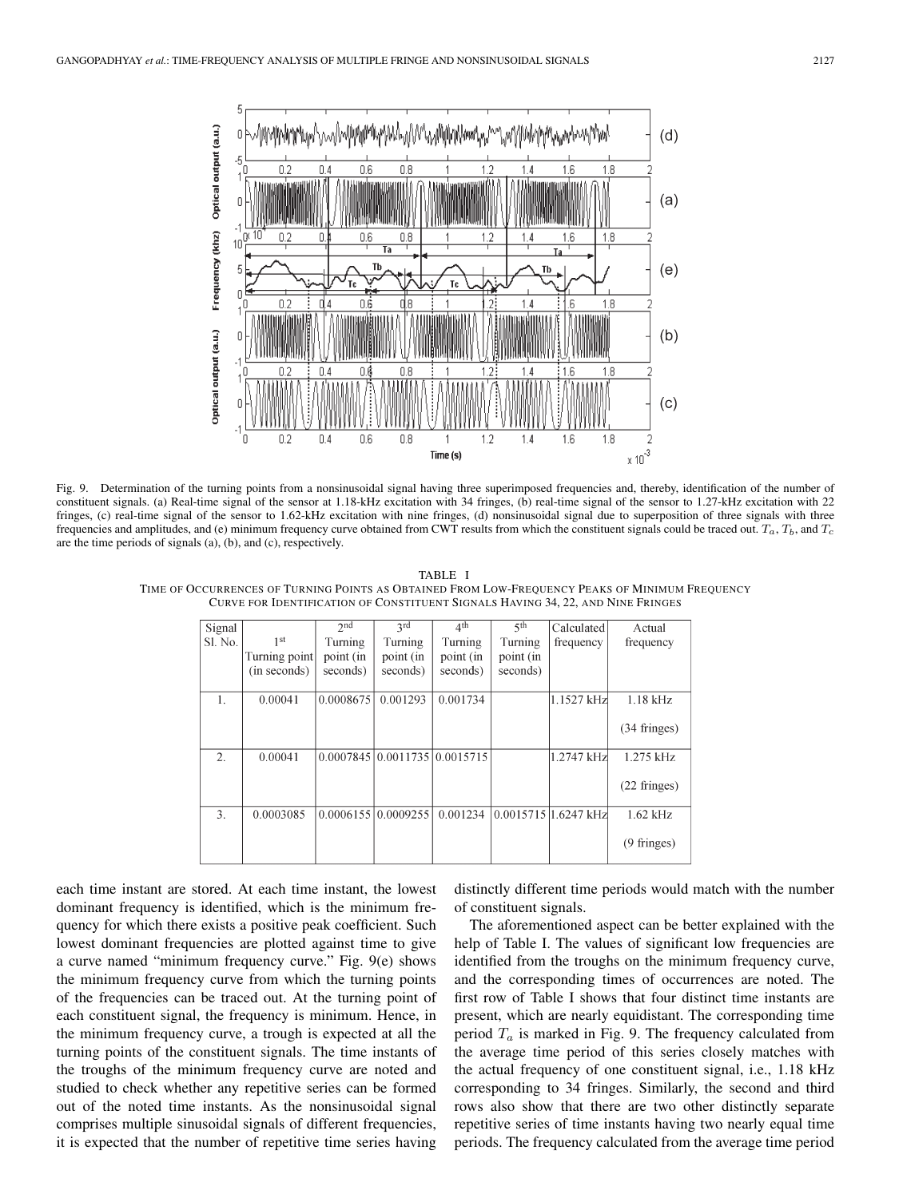

Fig. 9. Determination of the turning points from a nonsinusoidal signal having three superimposed frequencies and, thereby, identification of the number of constituent signals. (a) Real-time signal of the sensor at 1.18-kHz excitation with 34 fringes, (b) real-time signal of the sensor to 1.27-kHz excitation with 22 fringes, (c) real-time signal of the sensor to 1.62-kHz excitation with nine fringes, (d) nonsinusoidal signal due to superposition of three signals with three frequencies and amplitudes, and (e) minimum frequency curve obtained from CWT results from which the constituent signals could be traced out.  $T_a$ ,  $T_b$ , and  $T_c$ are the time periods of signals (a), (b), and (c), respectively.

TABLE I TIME OF OCCURRENCES OF TURNING POINTS AS OBTAINED FROM LOW-FREQUENCY PEAKS OF MINIMUM FREQUENCY CURVE FOR IDENTIFICATION OF CONSTITUENT SIGNALS HAVING 34, 22, AND NINE FRINGES

| Signal           |                 | 2 <sub>nd</sub> | 2rd                           | 4 <sup>th</sup> | $5$ <sup>th</sup> | Calculated             | Actual                 |
|------------------|-----------------|-----------------|-------------------------------|-----------------|-------------------|------------------------|------------------------|
| Sl. No.          | 1 <sup>st</sup> | Turning         | Turning                       | Turning         | Turning           | frequency              | frequency              |
|                  | Turning point   | point (in       | point (in                     | point (in       | point (in         |                        |                        |
|                  | (in seconds)    | seconds)        | seconds)                      | seconds)        | seconds)          |                        |                        |
|                  |                 |                 |                               |                 |                   |                        |                        |
| $\mathbf{1}$ .   | 0.00041         | 0.0008675       | 0.001293                      | 0.001734        |                   | 1.1527 kHz             | $1.18$ kHz             |
|                  |                 |                 |                               |                 |                   |                        |                        |
|                  |                 |                 |                               |                 |                   |                        | $(34 \text{ fringes})$ |
|                  |                 |                 |                               |                 |                   |                        |                        |
| $\overline{2}$ . | 0.00041         |                 | 0.0007845 0.0011735 0.0015715 |                 |                   | 1.2747 kHz             | $1.275$ kHz            |
|                  |                 |                 |                               |                 |                   |                        |                        |
|                  |                 |                 |                               |                 |                   |                        | $(22 \text{ fringes})$ |
| 3.               | 0.0003085       |                 | 0.000615510.0009255           | 0.001234        |                   | $0.0015715$ 1.6247 kHz | $1.62$ kHz             |
|                  |                 |                 |                               |                 |                   |                        |                        |
|                  |                 |                 |                               |                 |                   |                        | $(9 \text{ fringes})$  |
|                  |                 |                 |                               |                 |                   |                        |                        |
|                  |                 |                 |                               |                 |                   |                        |                        |

each time instant are stored. At each time instant, the lowest dominant frequency is identified, which is the minimum frequency for which there exists a positive peak coefficient. Such lowest dominant frequencies are plotted against time to give a curve named "minimum frequency curve." Fig. 9(e) shows the minimum frequency curve from which the turning points of the frequencies can be traced out. At the turning point of each constituent signal, the frequency is minimum. Hence, in the minimum frequency curve, a trough is expected at all the turning points of the constituent signals. The time instants of the troughs of the minimum frequency curve are noted and studied to check whether any repetitive series can be formed out of the noted time instants. As the nonsinusoidal signal comprises multiple sinusoidal signals of different frequencies, it is expected that the number of repetitive time series having

distinctly different time periods would match with the number of constituent signals.

The aforementioned aspect can be better explained with the help of Table I. The values of significant low frequencies are identified from the troughs on the minimum frequency curve, and the corresponding times of occurrences are noted. The first row of Table I shows that four distinct time instants are present, which are nearly equidistant. The corresponding time period  $T_a$  is marked in Fig. 9. The frequency calculated from the average time period of this series closely matches with the actual frequency of one constituent signal, i.e., 1.18 kHz corresponding to 34 fringes. Similarly, the second and third rows also show that there are two other distinctly separate repetitive series of time instants having two nearly equal time periods. The frequency calculated from the average time period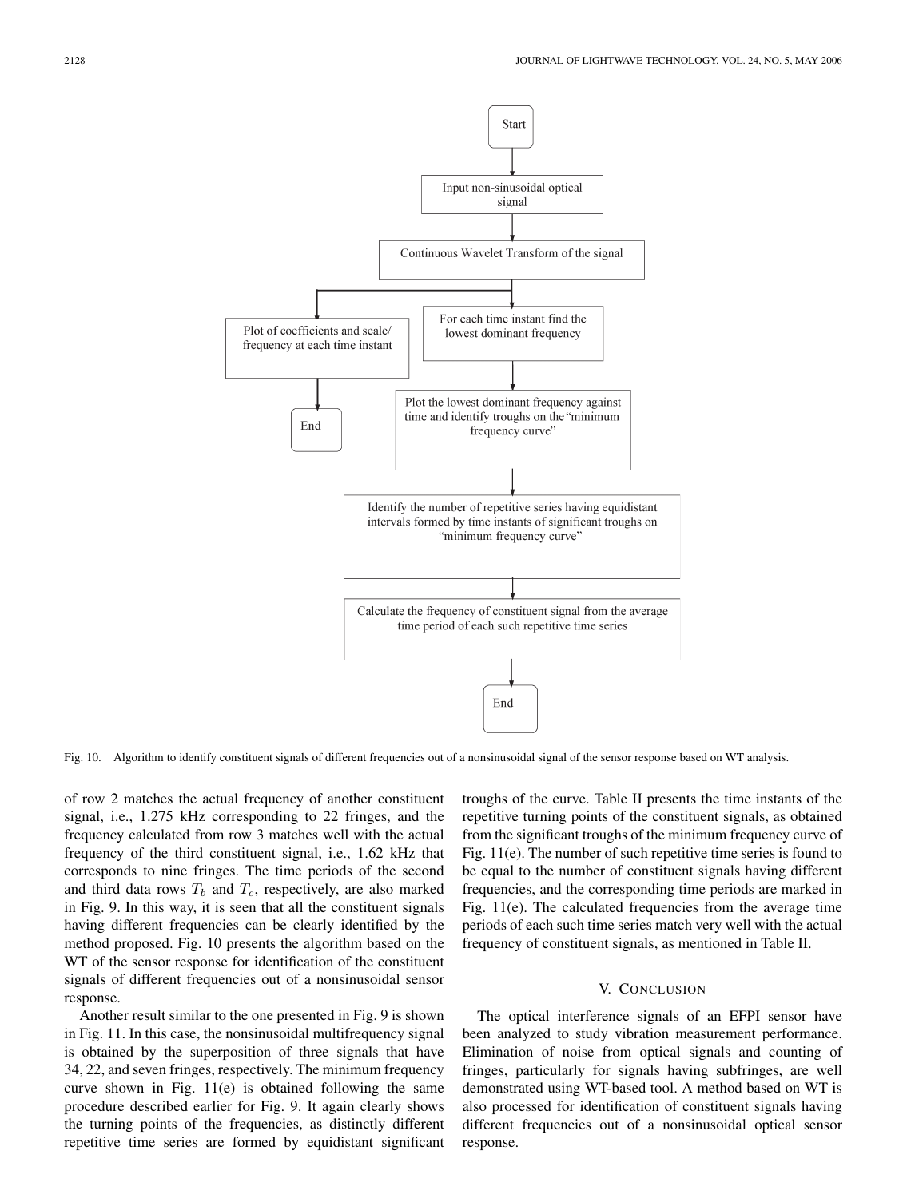

Fig. 10. Algorithm to identify constituent signals of different frequencies out of a nonsinusoidal signal of the sensor response based on WT analysis.

of row 2 matches the actual frequency of another constituent signal, i.e., 1.275 kHz corresponding to 22 fringes, and the frequency calculated from row 3 matches well with the actual frequency of the third constituent signal, i.e., 1.62 kHz that corresponds to nine fringes. The time periods of the second and third data rows  $T_b$  and  $T_c$ , respectively, are also marked in Fig. 9. In this way, it is seen that all the constituent signals having different frequencies can be clearly identified by the method proposed. Fig. 10 presents the algorithm based on the WT of the sensor response for identification of the constituent signals of different frequencies out of a nonsinusoidal sensor response.

Another result similar to the one presented in Fig. 9 is shown in Fig. 11. In this case, the nonsinusoidal multifrequency signal is obtained by the superposition of three signals that have 34, 22, and seven fringes, respectively. The minimum frequency curve shown in Fig. 11(e) is obtained following the same procedure described earlier for Fig. 9. It again clearly shows the turning points of the frequencies, as distinctly different repetitive time series are formed by equidistant significant troughs of the curve. Table II presents the time instants of the repetitive turning points of the constituent signals, as obtained from the significant troughs of the minimum frequency curve of Fig. 11(e). The number of such repetitive time series is found to be equal to the number of constituent signals having different frequencies, and the corresponding time periods are marked in Fig. 11(e). The calculated frequencies from the average time periods of each such time series match very well with the actual frequency of constituent signals, as mentioned in Table II.

#### V. CONCLUSION

The optical interference signals of an EFPI sensor have been analyzed to study vibration measurement performance. Elimination of noise from optical signals and counting of fringes, particularly for signals having subfringes, are well demonstrated using WT-based tool. A method based on WT is also processed for identification of constituent signals having different frequencies out of a nonsinusoidal optical sensor response.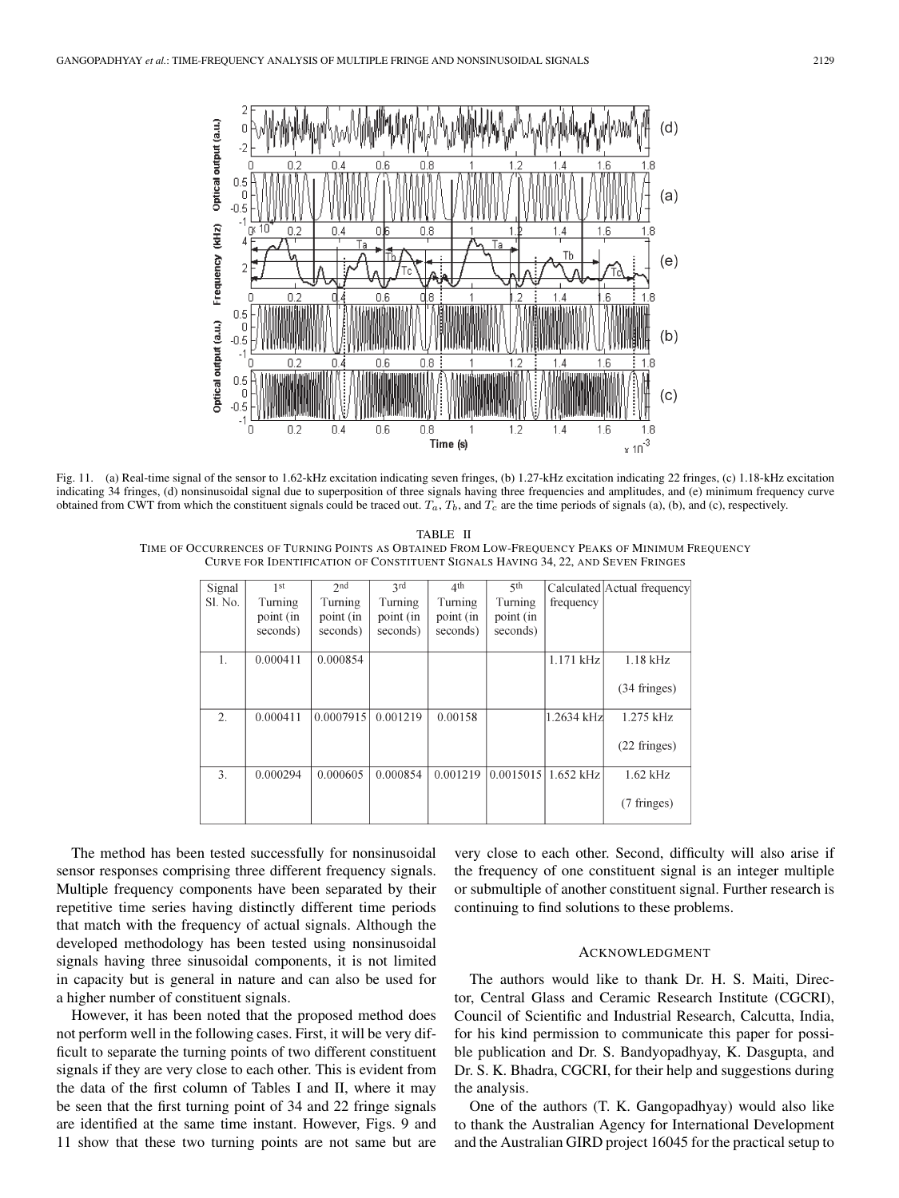

Fig. 11. (a) Real-time signal of the sensor to 1.62-kHz excitation indicating seven fringes, (b) 1.27-kHz excitation indicating 22 fringes, (c) 1.18-kHz excitation indicating 34 fringes, (d) nonsinusoidal signal due to superposition of three signals having three frequencies and amplitudes, and (e) minimum frequency curve obtained from CWT from which the constituent signals could be traced out. *Ta*, *Tb*, and *T<sup>c</sup>* are the time periods of signals (a), (b), and (c), respectively.

TABLE II TIME OF OCCURRENCES OF TURNING POINTS AS OBTAINED FROM LOW-FREQUENCY PEAKS OF MINIMUM FREQUENCY CURVE FOR IDENTIFICATION OF CONSTITUENT SIGNALS HAVING 34, 22, AND SEVEN FRINGES

| Signal           | 1 <sup>st</sup> | 2 <sub>nd</sub> | 2rd       | 4 <sup>th</sup> | 5 <sup>th</sup> |                         | Calculated Actual frequency |
|------------------|-----------------|-----------------|-----------|-----------------|-----------------|-------------------------|-----------------------------|
| Sl. No.          | Turning         | Turning         | Turning   | Turning         | Turning         | frequency               |                             |
|                  | point (in       | point (in       | point (in | point (in       | point (in       |                         |                             |
|                  | seconds)        | seconds)        | seconds)  | seconds)        | seconds)        |                         |                             |
|                  |                 |                 |           |                 |                 |                         |                             |
| $\mathbf{1}$ .   | 0.000411        | 0.000854        |           |                 |                 | $1.171$ kHz             | $1.18$ kHz                  |
|                  |                 |                 |           |                 |                 |                         | $(34 \text{ fringes})$      |
| 2.               | 0.000411        | 0.0007915       | 0.001219  | 0.00158         |                 | 1.2634 kHz              | $1.275$ kHz                 |
|                  |                 |                 |           |                 |                 |                         | $(22$ fringes)              |
| $\mathfrak{Z}$ . | 0.000294        | 0.000605        | 0.000854  | 0.001219        |                 | $0.0015015$   1.652 kHz | $1.62$ kHz                  |
|                  |                 |                 |           |                 |                 |                         | (7 fringes)                 |

The method has been tested successfully for nonsinusoidal sensor responses comprising three different frequency signals. Multiple frequency components have been separated by their repetitive time series having distinctly different time periods that match with the frequency of actual signals. Although the developed methodology has been tested using nonsinusoidal signals having three sinusoidal components, it is not limited in capacity but is general in nature and can also be used for a higher number of constituent signals.

However, it has been noted that the proposed method does not perform well in the following cases. First, it will be very difficult to separate the turning points of two different constituent signals if they are very close to each other. This is evident from the data of the first column of Tables I and II, where it may be seen that the first turning point of 34 and 22 fringe signals are identified at the same time instant. However, Figs. 9 and 11 show that these two turning points are not same but are

very close to each other. Second, difficulty will also arise if the frequency of one constituent signal is an integer multiple or submultiple of another constituent signal. Further research is continuing to find solutions to these problems.

#### ACKNOWLEDGMENT

The authors would like to thank Dr. H. S. Maiti, Director, Central Glass and Ceramic Research Institute (CGCRI), Council of Scientific and Industrial Research, Calcutta, India, for his kind permission to communicate this paper for possible publication and Dr. S. Bandyopadhyay, K. Dasgupta, and Dr. S. K. Bhadra, CGCRI, for their help and suggestions during the analysis.

One of the authors (T. K. Gangopadhyay) would also like to thank the Australian Agency for International Development and the Australian GIRD project 16045 for the practical setup to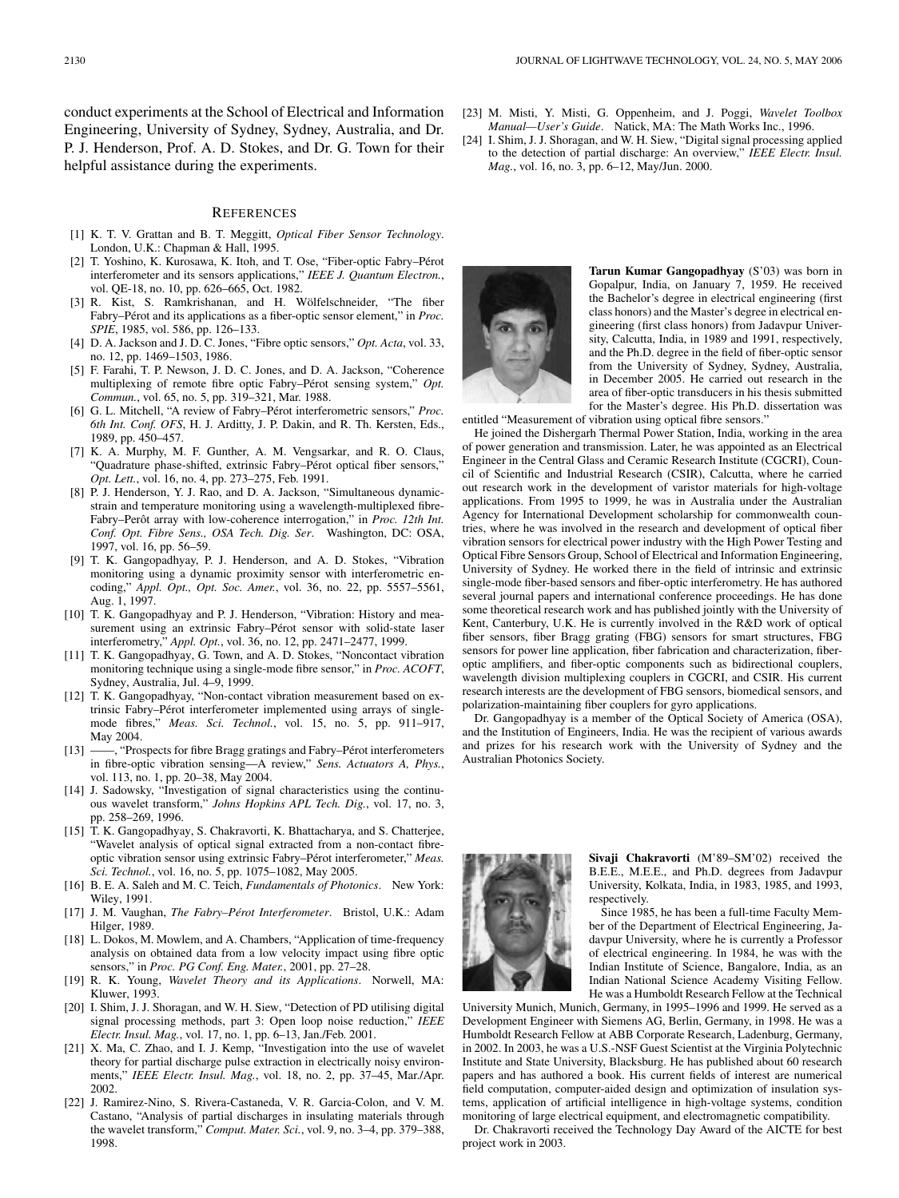conduct experiments at the School of Electrical and Information Engineering, University of Sydney, Sydney, Australia, and Dr. P. J. Henderson, Prof. A. D. Stokes, and Dr. G. Town for their helpful assistance during the experiments.

#### **REFERENCES**

- [1] K. T. V. Grattan and B. T. Meggitt, *Optical Fiber Sensor Technology*. London, U.K.: Chapman & Hall, 1995.
- [2] T. Yoshino, K. Kurosawa, K. Itoh, and T. Ose, "Fiber-optic Fabry–Pérot interferometer and its sensors applications," *IEEE J. Quantum Electron.*, vol. QE-18, no. 10, pp. 626–665, Oct. 1982.
- [3] R. Kist, S. Ramkrishanan, and H. Wölfelschneider, "The fiber Fabry–Pérot and its applications as a fiber-optic sensor element," in *Proc. SPIE*, 1985, vol. 586, pp. 126–133.
- [4] D. A. Jackson and J. D. C. Jones, "Fibre optic sensors," *Opt. Acta*, vol. 33, no. 12, pp. 1469–1503, 1986.
- [5] F. Farahi, T. P. Newson, J. D. C. Jones, and D. A. Jackson, "Coherence multiplexing of remote fibre optic Fabry–Pérot sensing system," *Opt. Commun.*, vol. 65, no. 5, pp. 319–321, Mar. 1988.
- [6] G. L. Mitchell, "A review of Fabry–Pérot interferometric sensors," *Proc. 6th Int. Conf. OFS*, H. J. Arditty, J. P. Dakin, and R. Th. Kersten, Eds., 1989, pp. 450–457.
- [7] K. A. Murphy, M. F. Gunther, A. M. Vengsarkar, and R. O. Claus, "Quadrature phase-shifted, extrinsic Fabry–Pérot optical fiber sensors," *Opt. Lett.*, vol. 16, no. 4, pp. 273–275, Feb. 1991.
- [8] P. J. Henderson, Y. J. Rao, and D. A. Jackson, "Simultaneous dynamicstrain and temperature monitoring using a wavelength-multiplexed fibre-Fabry–Perôt array with low-coherence interrogation," in *Proc. 12th Int. Conf. Opt. Fibre Sens., OSA Tech. Dig. Ser*. Washington, DC: OSA, 1997, vol. 16, pp. 56–59.
- [9] T. K. Gangopadhyay, P. J. Henderson, and A. D. Stokes, "Vibration monitoring using a dynamic proximity sensor with interferometric encoding," *Appl. Opt., Opt. Soc. Amer.*, vol. 36, no. 22, pp. 5557–5561, Aug. 1, 1997.
- [10] T. K. Gangopadhyay and P. J. Henderson, "Vibration: History and measurement using an extrinsic Fabry–Pérot sensor with solid-state laser interferometry," *Appl. Opt.*, vol. 36, no. 12, pp. 2471–2477, 1999.
- [11] T. K. Gangopadhyay, G. Town, and A. D. Stokes, "Noncontact vibration monitoring technique using a single-mode fibre sensor," in *Proc. ACOFT*, Sydney, Australia, Jul. 4–9, 1999.
- [12] T. K. Gangopadhyay, "Non-contact vibration measurement based on extrinsic Fabry–Pérot interferometer implemented using arrays of singlemode fibres," *Meas. Sci. Technol.*, vol. 15, no. 5, pp. 911–917, May 2004.
- [13] ——, "Prospects for fibre Bragg gratings and Fabry–Pérot interferometers in fibre-optic vibration sensing—A review," *Sens. Actuators A, Phys.*, vol. 113, no. 1, pp. 20–38, May 2004.
- [14] J. Sadowsky, "Investigation of signal characteristics using the continuous wavelet transform," *Johns Hopkins APL Tech. Dig.*, vol. 17, no. 3, pp. 258–269, 1996.
- [15] T. K. Gangopadhyay, S. Chakravorti, K. Bhattacharya, and S. Chatterjee, "Wavelet analysis of optical signal extracted from a non-contact fibreoptic vibration sensor using extrinsic Fabry–Pérot interferometer," *Meas. Sci. Technol.*, vol. 16, no. 5, pp. 1075–1082, May 2005.
- [16] B. E. A. Saleh and M. C. Teich, *Fundamentals of Photonics*. New York: Wiley, 1991.
- [17] J. M. Vaughan, *The Fabry–Pérot Interferometer*. Bristol, U.K.: Adam Hilger, 1989.
- [18] L. Dokos, M. Mowlem, and A. Chambers, "Application of time-frequency analysis on obtained data from a low velocity impact using fibre optic sensors," in *Proc. PG Conf. Eng. Mater.*, 2001, pp. 27–28.
- [19] R. K. Young, *Wavelet Theory and its Applications*. Norwell, MA: Kluwer, 1993.
- [20] I. Shim, J. J. Shoragan, and W. H. Siew, "Detection of PD utilising digital signal processing methods, part 3: Open loop noise reduction," *IEEE Electr. Insul. Mag.*, vol. 17, no. 1, pp. 6–13, Jan./Feb. 2001.
- [21] X. Ma, C. Zhao, and I. J. Kemp, "Investigation into the use of wavelet theory for partial discharge pulse extraction in electrically noisy environments," *IEEE Electr. Insul. Mag.*, vol. 18, no. 2, pp. 37–45, Mar./Apr. 2002.
- [22] J. Ramirez-Nino, S. Rivera-Castaneda, V. R. Garcia-Colon, and V. M. Castano, "Analysis of partial discharges in insulating materials through the wavelet transform," *Comput. Mater. Sci.*, vol. 9, no. 3–4, pp. 379–388, 1998.
- [23] M. Misti, Y. Misti, G. Oppenheim, and J. Poggi, *Wavelet Toolbox Manual—User's Guide*. Natick, MA: The Math Works Inc., 1996.
- [24] I. Shim, J. J. Shoragan, and W. H. Siew, "Digital signal processing applied to the detection of partial discharge: An overview," *IEEE Electr. Insul. Mag.*, vol. 16, no. 3, pp. 6–12, May/Jun. 2000.



**Tarun Kumar Gangopadhyay** (S'03) was born in Gopalpur, India, on January 7, 1959. He received the Bachelor's degree in electrical engineering (first class honors) and the Master's degree in electrical engineering (first class honors) from Jadavpur University, Calcutta, India, in 1989 and 1991, respectively, and the Ph.D. degree in the field of fiber-optic sensor from the University of Sydney, Sydney, Australia, in December 2005. He carried out research in the area of fiber-optic transducers in his thesis submitted for the Master's degree. His Ph.D. dissertation was

entitled "Measurement of vibration using optical fibre sensors."

He joined the Dishergarh Thermal Power Station, India, working in the area of power generation and transmission. Later, he was appointed as an Electrical Engineer in the Central Glass and Ceramic Research Institute (CGCRI), Council of Scientific and Industrial Research (CSIR), Calcutta, where he carried out research work in the development of varistor materials for high-voltage applications. From 1995 to 1999, he was in Australia under the Australian Agency for International Development scholarship for commonwealth countries, where he was involved in the research and development of optical fiber vibration sensors for electrical power industry with the High Power Testing and Optical Fibre Sensors Group, School of Electrical and Information Engineering, University of Sydney. He worked there in the field of intrinsic and extrinsic single-mode fiber-based sensors and fiber-optic interferometry. He has authored several journal papers and international conference proceedings. He has done some theoretical research work and has published jointly with the University of Kent, Canterbury, U.K. He is currently involved in the R&D work of optical fiber sensors, fiber Bragg grating (FBG) sensors for smart structures, FBG sensors for power line application, fiber fabrication and characterization, fiberoptic amplifiers, and fiber-optic components such as bidirectional couplers, wavelength division multiplexing couplers in CGCRI, and CSIR. His current research interests are the development of FBG sensors, biomedical sensors, and polarization-maintaining fiber couplers for gyro applications.

Dr. Gangopadhyay is a member of the Optical Society of America (OSA), and the Institution of Engineers, India. He was the recipient of various awards and prizes for his research work with the University of Sydney and the Australian Photonics Society.



**Sivaji Chakravorti** (M'89–SM'02) received the B.E.E., M.E.E., and Ph.D. degrees from Jadavpur University, Kolkata, India, in 1983, 1985, and 1993, respectively.

Since 1985, he has been a full-time Faculty Member of the Department of Electrical Engineering, Jadavpur University, where he is currently a Professor of electrical engineering. In 1984, he was with the Indian Institute of Science, Bangalore, India, as an Indian National Science Academy Visiting Fellow. He was a Humboldt Research Fellow at the Technical

University Munich, Munich, Germany, in 1995–1996 and 1999. He served as a Development Engineer with Siemens AG, Berlin, Germany, in 1998. He was a Humboldt Research Fellow at ABB Corporate Research, Ladenburg, Germany, in 2002. In 2003, he was a U.S.-NSF Guest Scientist at the Virginia Polytechnic Institute and State University, Blacksburg. He has published about 60 research papers and has authored a book. His current fields of interest are numerical field computation, computer-aided design and optimization of insulation systems, application of artificial intelligence in high-voltage systems, condition monitoring of large electrical equipment, and electromagnetic compatibility.

Dr. Chakravorti received the Technology Day Award of the AICTE for best project work in 2003.